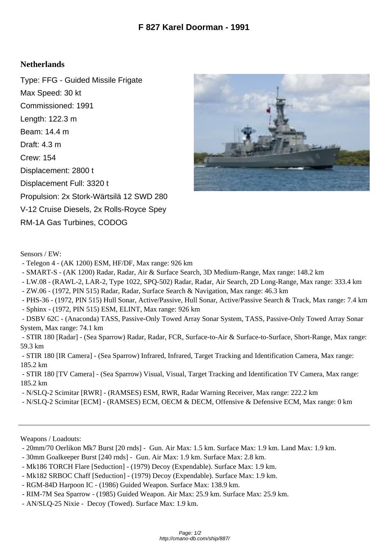## **Netherlands**

Type: FFG - Guided Missile Frigate Max Speed: 30 kt Commissioned: 1991 Length: 122.3 m Beam: 14.4 m Draft: 4.3 m Crew: 154 Displacement: 2800 t Displacement Full: 3320 t Propulsion: 2x Stork-Wärtsilä 12 SWD 280 V-12 Cruise Diesels, 2x Rolls-Royce Spey RM-1A Gas Turbines, CODOG



Sensors / EW:

- Telegon 4 - (AK 1200) ESM, HF/DF, Max range: 926 km

- SMART-S - (AK 1200) Radar, Radar, Air & Surface Search, 3D Medium-Range, Max range: 148.2 km

- LW.08 - (RAWL-2, LAR-2, Type 1022, SPQ-502) Radar, Radar, Air Search, 2D Long-Range, Max range: 333.4 km

- ZW.06 - (1972, PIN 515) Radar, Radar, Surface Search & Navigation, Max range: 46.3 km

- PHS-36 - (1972, PIN 515) Hull Sonar, Active/Passive, Hull Sonar, Active/Passive Search & Track, Max range: 7.4 km

- Sphinx - (1972, PIN 515) ESM, ELINT, Max range: 926 km

 - DSBV 62C - (Anaconda) TASS, Passive-Only Towed Array Sonar System, TASS, Passive-Only Towed Array Sonar System, Max range: 74.1 km

 - STIR 180 [Radar] - (Sea Sparrow) Radar, Radar, FCR, Surface-to-Air & Surface-to-Surface, Short-Range, Max range: 59.3 km

 - STIR 180 [IR Camera] - (Sea Sparrow) Infrared, Infrared, Target Tracking and Identification Camera, Max range: 185.2 km

 - STIR 180 [TV Camera] - (Sea Sparrow) Visual, Visual, Target Tracking and Identification TV Camera, Max range: 185.2 km

- N/SLQ-2 Scimitar [RWR] - (RAMSES) ESM, RWR, Radar Warning Receiver, Max range: 222.2 km

- N/SLQ-2 Scimitar [ECM] - (RAMSES) ECM, OECM & DECM, Offensive & Defensive ECM, Max range: 0 km

Weapons / Loadouts:

- 20mm/70 Oerlikon Mk7 Burst [20 rnds] Gun. Air Max: 1.5 km. Surface Max: 1.9 km. Land Max: 1.9 km.
- 30mm Goalkeeper Burst [240 rnds] Gun. Air Max: 1.9 km. Surface Max: 2.8 km.
- Mk186 TORCH Flare [Seduction] (1979) Decoy (Expendable). Surface Max: 1.9 km.
- Mk182 SRBOC Chaff [Seduction] (1979) Decoy (Expendable). Surface Max: 1.9 km.
- RGM-84D Harpoon IC (1986) Guided Weapon. Surface Max: 138.9 km.
- RIM-7M Sea Sparrow (1985) Guided Weapon. Air Max: 25.9 km. Surface Max: 25.9 km.
- AN/SLQ-25 Nixie Decoy (Towed). Surface Max: 1.9 km.